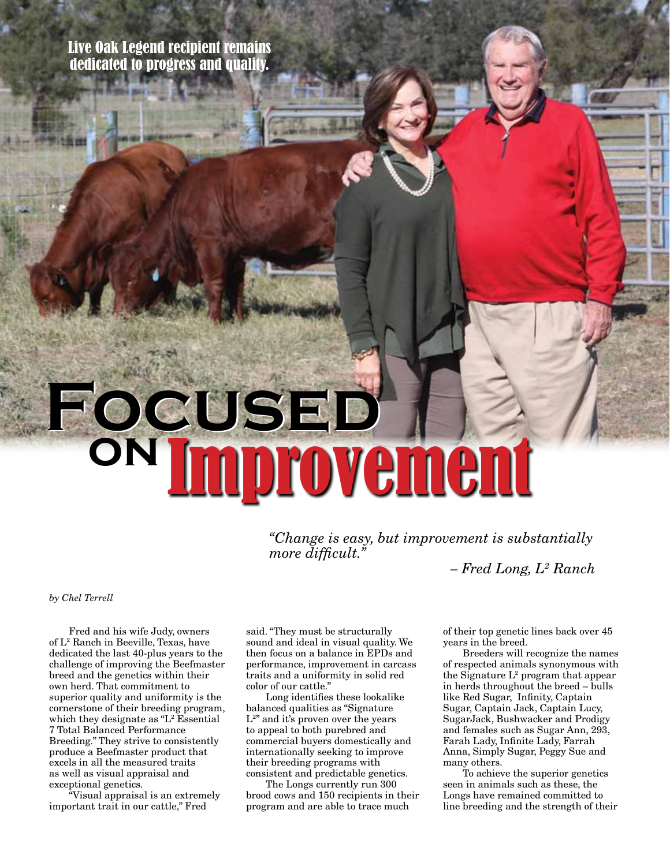Live Oak Legend recipient remains dedicated to progress and quality.

## **Focused Focused on** Improvement

*"Change is easy, but improvement is substantially more difficult."* 

 *– Fred Long, L2 Ranch*

## *by Chel Terrell*

Fred and his wife Judy, owners of L2 Ranch in Beeville, Texas, have dedicated the last 40-plus years to the challenge of improving the Beefmaster breed and the genetics within their own herd. That commitment to superior quality and uniformity is the cornerstone of their breeding program, which they designate as "L<sup>2</sup> Essential" 7 Total Balanced Performance Breeding." They strive to consistently produce a Beefmaster product that excels in all the measured traits as well as visual appraisal and exceptional genetics.

"Visual appraisal is an extremely important trait in our cattle," Fred

said. "They must be structurally sound and ideal in visual quality. We then focus on a balance in EPDs and performance, improvement in carcass traits and a uniformity in solid red color of our cattle."

Long identifies these lookalike balanced qualities as "Signature L<sup>2</sup>" and it's proven over the years to appeal to both purebred and commercial buyers domestically and internationally seeking to improve their breeding programs with consistent and predictable genetics.

The Longs currently run 300 brood cows and 150 recipients in their program and are able to trace much

of their top genetic lines back over 45 years in the breed.

Breeders will recognize the names of respected animals synonymous with the Signature  $L^2$  program that appear in herds throughout the breed – bulls like Red Sugar, Infinity, Captain Sugar, Captain Jack, Captain Lucy, SugarJack, Bushwacker and Prodigy and females such as Sugar Ann, 293, Farah Lady, Infinite Lady, Farrah Anna, Simply Sugar, Peggy Sue and many others.

To achieve the superior genetics seen in animals such as these, the Longs have remained committed to line breeding and the strength of their